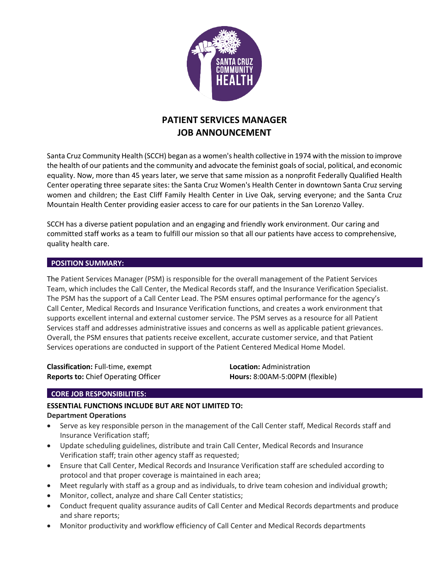

# **PATIENT SERVICES MANAGER JOB ANNOUNCEMENT**

Santa Cruz Community Health (SCCH) began as a women's health collective in 1974 with the mission to improve the health of our patients and the community and advocate the feminist goals ofsocial, political, and economic equality. Now, more than 45 years later, we serve that same mission as a nonprofit Federally Qualified Health Center operating three separate sites: the Santa Cruz Women's Health Center in downtown Santa Cruz serving women and children; the East Cliff Family Health Center in Live Oak, serving everyone; and the Santa Cruz Mountain Health Center providing easier access to care for our patients in the San Lorenzo Valley.

SCCH has a diverse patient population and an engaging and friendly work environment. Our caring and committed staff works as a team to fulfill our mission so that all our patients have access to comprehensive, quality health care.

#### **POSITION SUMMARY:**

The Patient Services Manager (PSM) is responsible for the overall management of the Patient Services Team, which includes the Call Center, the Medical Records staff, and the Insurance Verification Specialist. The PSM has the support of a Call Center Lead. The PSM ensures optimal performance for the agency's Call Center, Medical Records and Insurance Verification functions, and creates a work environment that supports excellent internal and external customer service. The PSM serves as a resource for all Patient Services staff and addresses administrative issues and concerns as well as applicable patient grievances. Overall, the PSM ensures that patients receive excellent, accurate customer service, and that Patient Services operations are conducted in support of the Patient Centered Medical Home Model.

**Classification:** Full-time, exempt **Location:** Administration **Reports to:** Chief Operating Officer **Hours:** 8:00AM-5:00PM (flexible)

## **CORE JOB RESPONSIBILITIES:**

# **ESSENTIAL FUNCTIONS INCLUDE BUT ARE NOT LIMITED TO: Department Operations**

- Serve as key responsible person in the management of the Call Center staff, Medical Records staff and Insurance Verification staff;
- Update scheduling guidelines, distribute and train Call Center, Medical Records and Insurance Verification staff; train other agency staff as requested;
- Ensure that Call Center, Medical Records and Insurance Verification staff are scheduled according to protocol and that proper coverage is maintained in each area;
- Meet regularly with staff as a group and as individuals, to drive team cohesion and individual growth;
- Monitor, collect, analyze and share Call Center statistics;
- Conduct frequent quality assurance audits of Call Center and Medical Records departments and produce and share reports;
- Monitor productivity and workflow efficiency of Call Center and Medical Records departments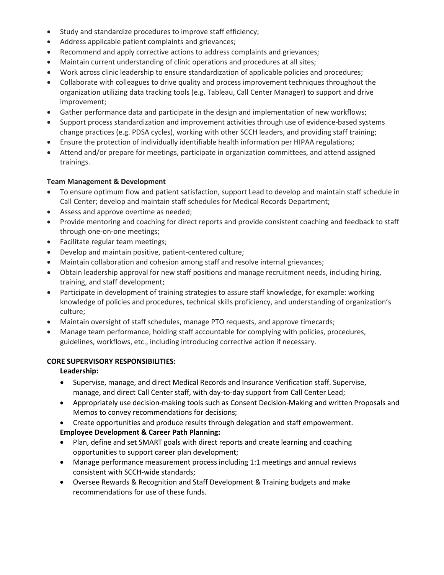- Study and standardize procedures to improve staff efficiency;
- Address applicable patient complaints and grievances;
- Recommend and apply corrective actions to address complaints and grievances;
- Maintain current understanding of clinic operations and procedures at all sites;
- Work across clinic leadership to ensure standardization of applicable policies and procedures;
- Collaborate with colleagues to drive quality and process improvement techniques throughout the organization utilizing data tracking tools (e.g. Tableau, Call Center Manager) to support and drive improvement;
- Gather performance data and participate in the design and implementation of new workflows;
- Support process standardization and improvement activities through use of evidence-based systems change practices (e.g. PDSA cycles), working with other SCCH leaders, and providing staff training;
- Ensure the protection of individually identifiable health information per HIPAA regulations;
- Attend and/or prepare for meetings, participate in organization committees, and attend assigned trainings.

# **Team Management & Development**

- To ensure optimum flow and patient satisfaction, support Lead to develop and maintain staff schedule in Call Center; develop and maintain staff schedules for Medical Records Department;
- Assess and approve overtime as needed;
- Provide mentoring and coaching for direct reports and provide consistent coaching and feedback to staff through one-on-one meetings;
- Facilitate regular team meetings;
- Develop and maintain positive, patient-centered culture;
- Maintain collaboration and cohesion among staff and resolve internal grievances;
- Obtain leadership approval for new staff positions and manage recruitment needs, including hiring, training, and staff development;
- Participate in development of training strategies to assure staff knowledge, for example: working knowledge of policies and procedures, technical skills proficiency, and understanding of organization's culture;
- Maintain oversight of staff schedules, manage PTO requests, and approve timecards;
- Manage team performance, holding staff accountable for complying with policies, procedures, guidelines, workflows, etc., including introducing corrective action if necessary.

## **CORE SUPERVISORY RESPONSIBILITIES:**

## **Leadership:**

- Supervise, manage, and direct Medical Records and Insurance Verification staff. Supervise, manage, and direct Call Center staff, with day-to-day support from Call Center Lead;
- Appropriately use decision-making tools such as Consent Decision-Making and written Proposals and Memos to convey recommendations for decisions;
- Create opportunities and produce results through delegation and staff empowerment.

# **Employee Development & Career Path Planning:**

- Plan, define and set SMART goals with direct reports and create learning and coaching opportunities to support career plan development;
- Manage performance measurement process including 1:1 meetings and annual reviews consistent with SCCH-wide standards;
- Oversee Rewards & Recognition and Staff Development & Training budgets and make recommendations for use of these funds.